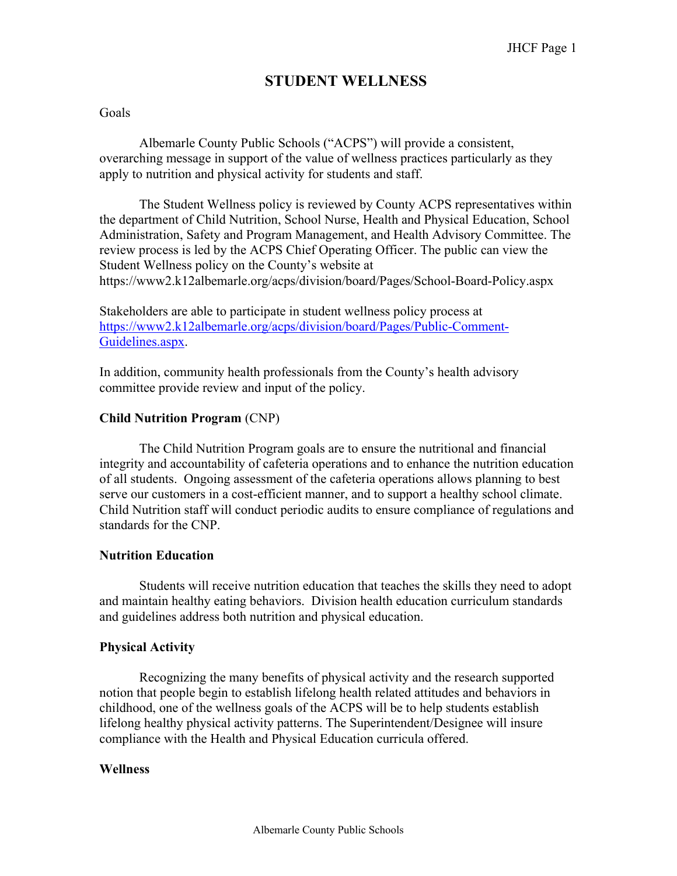# **STUDENT WELLNESS**

#### Goals

 Albemarle County Public Schools ("ACPS") will provide a consistent, overarching message in support of the value of wellness practices particularly as they apply to nutrition and physical activity for students and staff.

 The Student Wellness policy is reviewed by County ACPS representatives within the department of Child Nutrition, School Nurse, Health and Physical Education, School Administration, Safety and Program Management, and Health Advisory Committee. The review process is led by the ACPS Chief Operating Officer. The public can view the Student Wellness policy on the County's website at https://www2.k12albemarle.org/acps/division/board/Pages/School-Board-Policy.aspx

Stakeholders are able to participate in student wellness policy process at https://www2.k12albemarle.org/acps/division/board/Pages/Public-Comment-Guidelines.aspx.

In addition, community health professionals from the County's health advisory committee provide review and input of the policy.

#### **Child Nutrition Program** (CNP)

The Child Nutrition Program goals are to ensure the nutritional and financial integrity and accountability of cafeteria operations and to enhance the nutrition education of all students. Ongoing assessment of the cafeteria operations allows planning to best serve our customers in a cost-efficient manner, and to support a healthy school climate. Child Nutrition staff will conduct periodic audits to ensure compliance of regulations and standards for the CNP.

#### **Nutrition Education**

Students will receive nutrition education that teaches the skills they need to adopt and maintain healthy eating behaviors. Division health education curriculum standards and guidelines address both nutrition and physical education.

#### **Physical Activity**

Recognizing the many benefits of physical activity and the research supported notion that people begin to establish lifelong health related attitudes and behaviors in childhood, one of the wellness goals of the ACPS will be to help students establish lifelong healthy physical activity patterns. The Superintendent/Designee will insure compliance with the Health and Physical Education curricula offered.

#### **Wellness**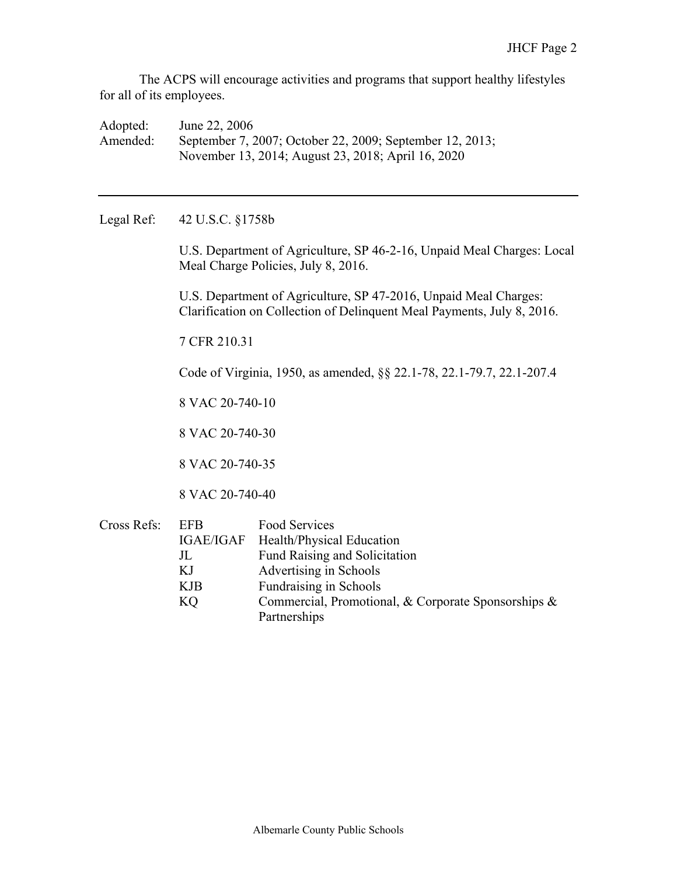The ACPS will encourage activities and programs that support healthy lifestyles for all of its employees.

Adopted: June 22, 2006 Amended: September 7, 2007; October 22, 2009; September 12, 2013; November 13, 2014; August 23, 2018; April 16, 2020

Legal Ref: 42 U.S.C. §1758b

U.S. Department of Agriculture, SP 46-2-16, Unpaid Meal Charges: Local Meal Charge Policies, July 8, 2016.

U.S. Department of Agriculture, SP 47-2016, Unpaid Meal Charges: Clarification on Collection of Delinquent Meal Payments, July 8, 2016.

7 CFR 210.31

Code of Virginia, 1950, as amended, §§ 22.1-78, 22.1-79.7, 22.1-207.4

8 VAC 20-740-10

8 VAC 20-740-30

8 VAC 20-740-35

8 VAC 20-740-40

| Cross Refs: | EFB | Food Services                                       |
|-------------|-----|-----------------------------------------------------|
|             |     | IGAE/IGAF Health/Physical Education                 |
|             | JL  | <b>Fund Raising and Solicitation</b>                |
|             | KJ  | Advertising in Schools                              |
|             | KJB | Fundraising in Schools                              |
|             | KQ  | Commercial, Promotional, & Corporate Sponsorships & |
|             |     | Partnerships                                        |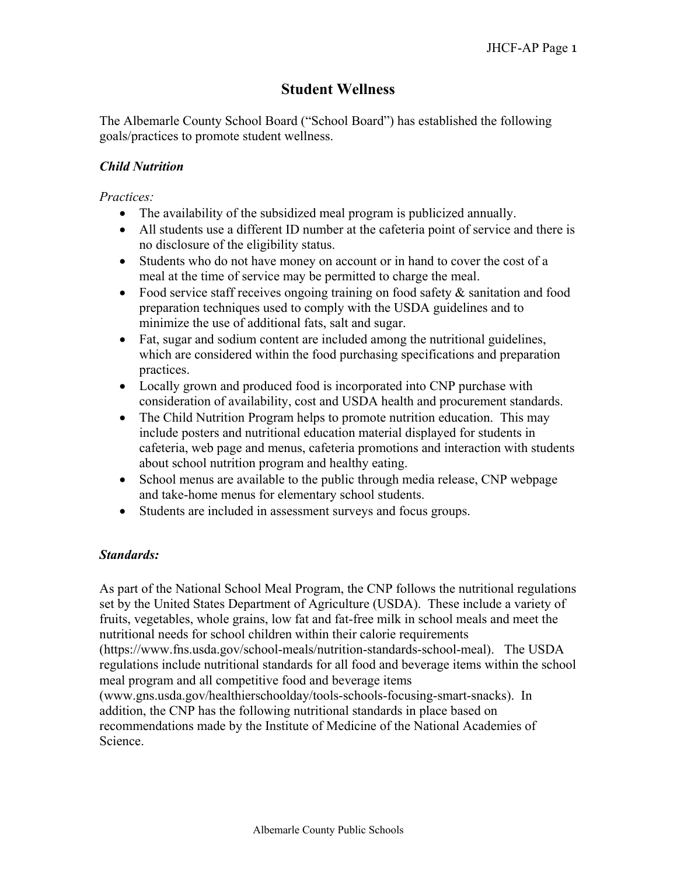# **Student Wellness**

The Albemarle County School Board ("School Board") has established the following goals/practices to promote student wellness.

## *Child Nutrition*

### *Practices:*

- The availability of the subsidized meal program is publicized annually.
- All students use a different ID number at the cafeteria point of service and there is no disclosure of the eligibility status.
- Students who do not have money on account or in hand to cover the cost of a meal at the time of service may be permitted to charge the meal.
- Food service staff receives ongoing training on food safety & sanitation and food preparation techniques used to comply with the USDA guidelines and to minimize the use of additional fats, salt and sugar.
- Fat, sugar and sodium content are included among the nutritional guidelines, which are considered within the food purchasing specifications and preparation practices.
- Locally grown and produced food is incorporated into CNP purchase with consideration of availability, cost and USDA health and procurement standards.
- The Child Nutrition Program helps to promote nutrition education. This may include posters and nutritional education material displayed for students in cafeteria, web page and menus, cafeteria promotions and interaction with students about school nutrition program and healthy eating.
- School menus are available to the public through media release, CNP webpage and take-home menus for elementary school students.
- Students are included in assessment surveys and focus groups.

# *Standards:*

As part of the National School Meal Program, the CNP follows the nutritional regulations set by the United States Department of Agriculture (USDA). These include a variety of fruits, vegetables, whole grains, low fat and fat-free milk in school meals and meet the nutritional needs for school children within their calorie requirements (https://www.fns.usda.gov/school-meals/nutrition-standards-school-meal). The USDA regulations include nutritional standards for all food and beverage items within the school meal program and all competitive food and beverage items (www.gns.usda.gov/healthierschoolday/tools-schools-focusing-smart-snacks). In addition, the CNP has the following nutritional standards in place based on recommendations made by the Institute of Medicine of the National Academies of Science.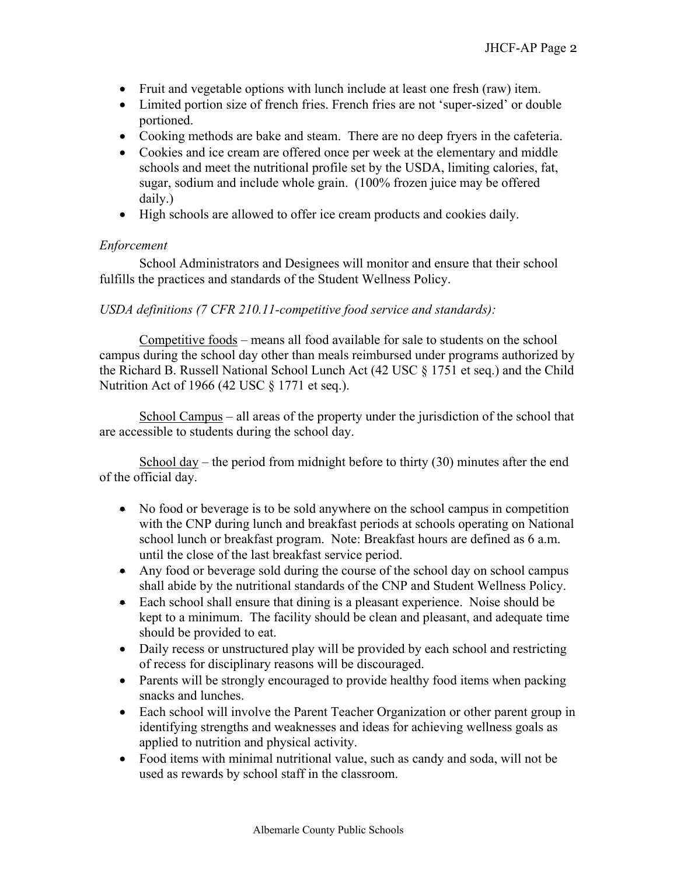- Fruit and vegetable options with lunch include at least one fresh (raw) item.
- Limited portion size of french fries. French fries are not 'super-sized' or double portioned.
- Cooking methods are bake and steam. There are no deep fryers in the cafeteria.
- Cookies and ice cream are offered once per week at the elementary and middle schools and meet the nutritional profile set by the USDA, limiting calories, fat, sugar, sodium and include whole grain. (100% frozen juice may be offered daily.)
- High schools are allowed to offer ice cream products and cookies daily.

## *Enforcement*

 School Administrators and Designees will monitor and ensure that their school fulfills the practices and standards of the Student Wellness Policy.

## *USDA definitions (7 CFR 210.11-competitive food service and standards):*

 Competitive foods – means all food available for sale to students on the school campus during the school day other than meals reimbursed under programs authorized by the Richard B. Russell National School Lunch Act (42 USC § 1751 et seq.) and the Child Nutrition Act of 1966 (42 USC § 1771 et seq.).

 School Campus – all areas of the property under the jurisdiction of the school that are accessible to students during the school day.

 School day – the period from midnight before to thirty (30) minutes after the end of the official day.

- No food or beverage is to be sold anywhere on the school campus in competition with the CNP during lunch and breakfast periods at schools operating on National school lunch or breakfast program. Note: Breakfast hours are defined as 6 a.m. until the close of the last breakfast service period.
- Any food or beverage sold during the course of the school day on school campus shall abide by the nutritional standards of the CNP and Student Wellness Policy.
- Each school shall ensure that dining is a pleasant experience. Noise should be kept to a minimum. The facility should be clean and pleasant, and adequate time should be provided to eat.
- Daily recess or unstructured play will be provided by each school and restricting of recess for disciplinary reasons will be discouraged.
- Parents will be strongly encouraged to provide healthy food items when packing snacks and lunches.
- Each school will involve the Parent Teacher Organization or other parent group in identifying strengths and weaknesses and ideas for achieving wellness goals as applied to nutrition and physical activity.
- Food items with minimal nutritional value, such as candy and soda, will not be used as rewards by school staff in the classroom.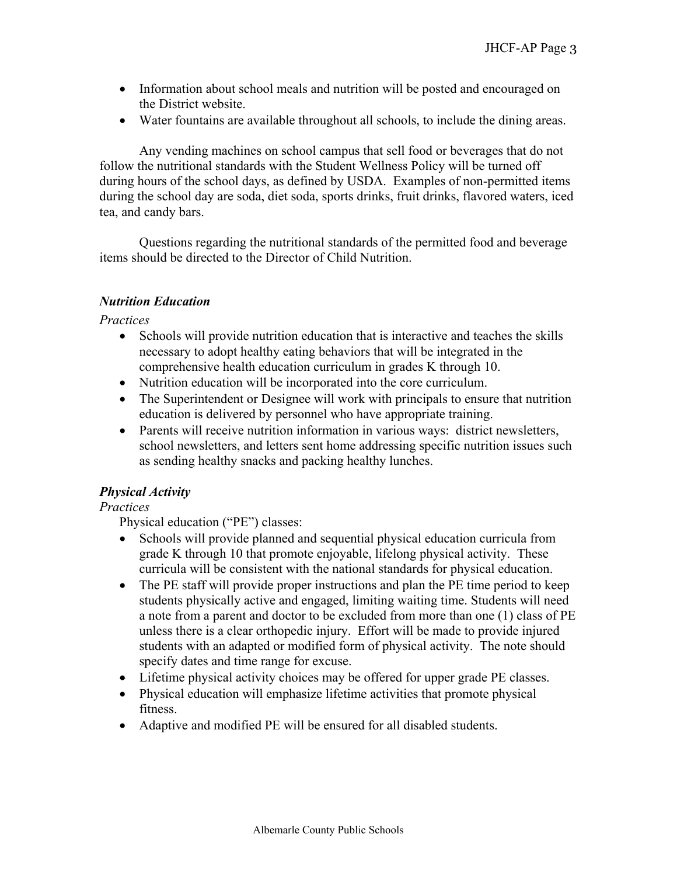- Information about school meals and nutrition will be posted and encouraged on the District website.
- Water fountains are available throughout all schools, to include the dining areas.

 Any vending machines on school campus that sell food or beverages that do not follow the nutritional standards with the Student Wellness Policy will be turned off during hours of the school days, as defined by USDA. Examples of non-permitted items during the school day are soda, diet soda, sports drinks, fruit drinks, flavored waters, iced tea, and candy bars.

 Questions regarding the nutritional standards of the permitted food and beverage items should be directed to the Director of Child Nutrition.

## *Nutrition Education*

*Practices* 

- Schools will provide nutrition education that is interactive and teaches the skills necessary to adopt healthy eating behaviors that will be integrated in the comprehensive health education curriculum in grades K through 10.
- Nutrition education will be incorporated into the core curriculum.
- The Superintendent or Designee will work with principals to ensure that nutrition education is delivered by personnel who have appropriate training.
- Parents will receive nutrition information in various ways: district newsletters, school newsletters, and letters sent home addressing specific nutrition issues such as sending healthy snacks and packing healthy lunches.

# *Physical Activity*

# *Practices*

Physical education ("PE") classes:

- Schools will provide planned and sequential physical education curricula from grade K through 10 that promote enjoyable, lifelong physical activity. These curricula will be consistent with the national standards for physical education.
- The PE staff will provide proper instructions and plan the PE time period to keep students physically active and engaged, limiting waiting time. Students will need a note from a parent and doctor to be excluded from more than one (1) class of PE unless there is a clear orthopedic injury. Effort will be made to provide injured students with an adapted or modified form of physical activity. The note should specify dates and time range for excuse.
- Lifetime physical activity choices may be offered for upper grade PE classes.
- Physical education will emphasize lifetime activities that promote physical fitness.
- Adaptive and modified PE will be ensured for all disabled students.